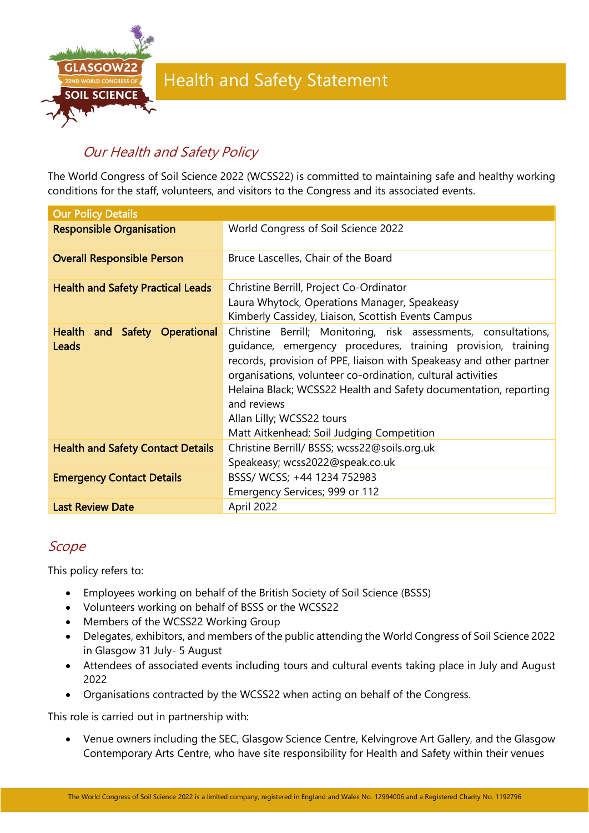

# Our Health and Safety Policy

The World Congress of Soil Science 2022 (WCSS22) is committed to maintaining safe and healthy working conditions for the staff, volunteers, and visitors to the Congress and its associated events.

| <b>Our Policy Details</b>                |                                                                                                                                                                                                                                                                                                                                                                                                                                    |
|------------------------------------------|------------------------------------------------------------------------------------------------------------------------------------------------------------------------------------------------------------------------------------------------------------------------------------------------------------------------------------------------------------------------------------------------------------------------------------|
| <b>Responsible Organisation</b>          | World Congress of Soil Science 2022                                                                                                                                                                                                                                                                                                                                                                                                |
| <b>Overall Responsible Person</b>        | Bruce Lascelles, Chair of the Board                                                                                                                                                                                                                                                                                                                                                                                                |
| <b>Health and Safety Practical Leads</b> | Christine Berrill, Project Co-Ordinator<br>Laura Whytock, Operations Manager, Speakeasy<br>Kimberly Cassidey, Liaison, Scottish Events Campus                                                                                                                                                                                                                                                                                      |
| Health and Safety Operational<br>Leads   | Christine Berrill; Monitoring, risk assessments, consultations,<br>guidance, emergency procedures, training provision, training<br>records, provision of PPE, liaison with Speakeasy and other partner<br>organisations, volunteer co-ordination, cultural activities<br>Helaina Black; WCSS22 Health and Safety documentation, reporting<br>and reviews<br>Allan Lilly; WCSS22 tours<br>Matt Aitkenhead; Soil Judging Competition |
| <b>Health and Safety Contact Details</b> | Christine Berrill/ BSSS; wcss22@soils.org.uk<br>Speakeasy; wcss2022@speak.co.uk                                                                                                                                                                                                                                                                                                                                                    |
| <b>Emergency Contact Details</b>         | BSSS/ WCSS; +44 1234 752983<br>Emergency Services; 999 or 112                                                                                                                                                                                                                                                                                                                                                                      |
| <b>Last Review Date</b>                  | April 2022                                                                                                                                                                                                                                                                                                                                                                                                                         |

### Scope

This policy refers to:

- Employees working on behalf of the British Society of Soil Science (BSSS)
- Volunteers working on behalf of BSSS or the WCSS22
- Members of the WCSS22 Working Group
- Delegates, exhibitors, and members of the public attending the World Congress of Soil Science 2022 in Glasgow 31 July- 5 August
- Attendees of associated events including tours and cultural events taking place in July and August 2022
- Organisations contracted by the WCSS22 when acting on behalf of the Congress.

This role is carried out in partnership with:

• Venue owners including the SEC, Glasgow Science Centre, Kelvingrove Art Gallery, and the Glasgow Contemporary Arts Centre, who have site responsibility for Health and Safety within their venues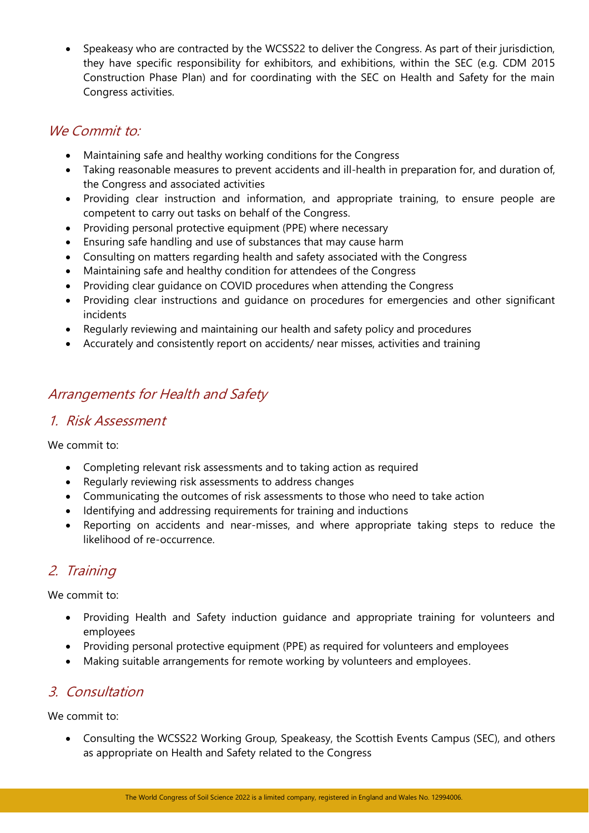• Speakeasy who are contracted by the WCSS22 to deliver the Congress. As part of their jurisdiction, they have specific responsibility for exhibitors, and exhibitions, within the SEC (e.g. CDM 2015 Construction Phase Plan) and for coordinating with the SEC on Health and Safety for the main Congress activities.

#### We Commit to:

- Maintaining safe and healthy working conditions for the Congress
- Taking reasonable measures to prevent accidents and ill-health in preparation for, and duration of, the Congress and associated activities
- Providing clear instruction and information, and appropriate training, to ensure people are competent to carry out tasks on behalf of the Congress.
- Providing personal protective equipment (PPE) where necessary
- Ensuring safe handling and use of substances that may cause harm
- Consulting on matters regarding health and safety associated with the Congress
- Maintaining safe and healthy condition for attendees of the Congress
- Providing clear guidance on COVID procedures when attending the Congress
- Providing clear instructions and guidance on procedures for emergencies and other significant incidents
- Regularly reviewing and maintaining our health and safety policy and procedures
- Accurately and consistently report on accidents/ near misses, activities and training

## Arrangements for Health and Safety

#### 1. Risk Assessment

We commit to:

- Completing relevant risk assessments and to taking action as required
- Regularly reviewing risk assessments to address changes
- Communicating the outcomes of risk assessments to those who need to take action
- Identifying and addressing requirements for training and inductions
- Reporting on accidents and near-misses, and where appropriate taking steps to reduce the likelihood of re-occurrence.

## 2. Training

We commit to:

- Providing Health and Safety induction guidance and appropriate training for volunteers and employees
- Providing personal protective equipment (PPE) as required for volunteers and employees
- Making suitable arrangements for remote working by volunteers and employees.

#### 3. Consultation

We commit to:

• Consulting the WCSS22 Working Group, Speakeasy, the Scottish Events Campus (SEC), and others as appropriate on Health and Safety related to the Congress